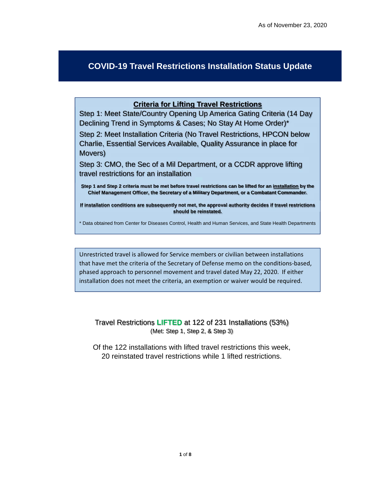## **COVID-19 Travel Restrictions Installation Status Update**

## **Criteria for Lifting Travel Restrictions**

Step 1: Meet State/Country Opening Up America Gating Criteria (14 Day Declining Trend in Symptoms & Cases; No Stay At Home Order)\*

Step 2: Meet Installation Criteria (No Travel Restrictions, HPCON below Charlie, Essential Services Available, Quality Assurance in place for Movers)

Step 3: CMO, the Sec of a Mil Department, or a CCDR approve lifting travel restrictions for an installation

**Step 1 and Step 2 criteria must be met before travel restrictions can be lifted for an installation by the Chief Management Officer, the Secretary of a Military Department, or a Combatant Commander.** 

**If installation conditions are subsequently not met, the approval authority decides if travel restrictions should be reinstated.** 

\* Data obtained from Center for Diseases Control, Health and Human Services, and State Health Departments

Unrestricted travel is allowed for Service members or civilian between installations that have met the criteria of the Secretary of Defense memo on the conditions‐based, phased approach to personnel movement and travel dated May 22, 2020. If either installation does not meet the criteria, an exemption or waiver would be required.

Travel Restrictions **LIFTED** at 122 of 231 Installations (53%) (Met: Step 1, Step 2, & Step 3)

Of the 122 installations with lifted travel restrictions this week, 20 reinstated travel restrictions while 1 lifted restrictions.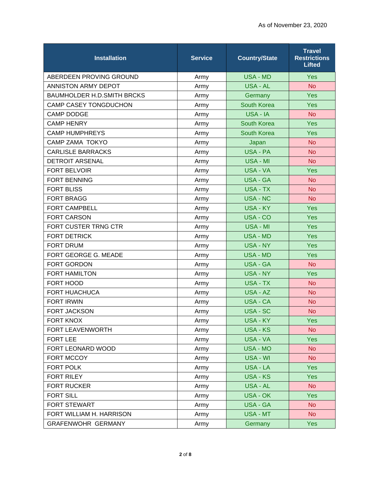| <b>Installation</b>               | <b>Service</b> | <b>Country/State</b> | <b>Travel</b><br><b>Restrictions</b><br><b>Lifted</b> |
|-----------------------------------|----------------|----------------------|-------------------------------------------------------|
| ABERDEEN PROVING GROUND           | Army           | <b>USA - MD</b>      | <b>Yes</b>                                            |
| ANNISTON ARMY DEPOT               | Army           | USA - AL             | <b>No</b>                                             |
| <b>BAUMHOLDER H.D.SMITH BRCKS</b> | Army           | Germany              | <b>Yes</b>                                            |
| <b>CAMP CASEY TONGDUCHON</b>      | Army           | South Korea          | <b>Yes</b>                                            |
| <b>CAMP DODGE</b>                 | Army           | USA - IA             | <b>No</b>                                             |
| <b>CAMP HENRY</b>                 | Army           | South Korea          | <b>Yes</b>                                            |
| <b>CAMP HUMPHREYS</b>             | Army           | South Korea          | Yes                                                   |
| <b>CAMP ZAMA TOKYO</b>            | Army           | Japan                | <b>No</b>                                             |
| <b>CARLISLE BARRACKS</b>          | Army           | <b>USA - PA</b>      | <b>No</b>                                             |
| <b>DETROIT ARSENAL</b>            | Army           | <b>USA - MI</b>      | <b>No</b>                                             |
| <b>FORT BELVOIR</b>               | Army           | USA - VA             | <b>Yes</b>                                            |
| <b>FORT BENNING</b>               | Army           | <b>USA - GA</b>      | <b>No</b>                                             |
| <b>FORT BLISS</b>                 | Army           | <b>USA - TX</b>      | <b>No</b>                                             |
| <b>FORT BRAGG</b>                 | Army           | <b>USA - NC</b>      | <b>No</b>                                             |
| <b>FORT CAMPBELL</b>              | Army           | USA - KY             | <b>Yes</b>                                            |
| <b>FORT CARSON</b>                | Army           | USA - CO             | <b>Yes</b>                                            |
| FORT CUSTER TRNG CTR              | Army           | <b>USA - MI</b>      | <b>Yes</b>                                            |
| <b>FORT DETRICK</b>               | Army           | <b>USA - MD</b>      | <b>Yes</b>                                            |
| <b>FORT DRUM</b>                  | Army           | <b>USA - NY</b>      | <b>Yes</b>                                            |
| FORT GEORGE G. MEADE              | Army           | <b>USA - MD</b>      | <b>Yes</b>                                            |
| FORT GORDON                       | Army           | <b>USA - GA</b>      | <b>No</b>                                             |
| <b>FORT HAMILTON</b>              | Army           | USA - NY             | <b>Yes</b>                                            |
| FORT HOOD                         | Army           | <b>USA - TX</b>      | <b>No</b>                                             |
| <b>FORT HUACHUCA</b>              | Army           | USA - AZ             | <b>No</b>                                             |
| <b>FORT IRWIN</b>                 | Army           | <b>USA - CA</b>      | <b>No</b>                                             |
| <b>FORT JACKSON</b>               | Army           | <b>USA - SC</b>      | <b>No</b>                                             |
| <b>FORT KNOX</b>                  | Army           | <b>USA - KY</b>      | <b>Yes</b>                                            |
| FORT LEAVENWORTH                  | Army           | <b>USA - KS</b>      | <b>No</b>                                             |
| <b>FORT LEE</b>                   | Army           | USA - VA             | Yes                                                   |
| FORT LEONARD WOOD                 | Army           | USA - MO             | <b>No</b>                                             |
| FORT MCCOY                        | Army           | USA - WI             | <b>No</b>                                             |
| FORT POLK                         | Army           | USA - LA             | <b>Yes</b>                                            |
| FORT RILEY                        | Army           | <b>USA - KS</b>      | <b>Yes</b>                                            |
| <b>FORT RUCKER</b>                | Army           | USA - AL             | <b>No</b>                                             |
| <b>FORT SILL</b>                  | Army           | USA - OK             | <b>Yes</b>                                            |
| <b>FORT STEWART</b>               | Army           | <b>USA - GA</b>      | <b>No</b>                                             |
| FORT WILLIAM H. HARRISON          | Army           | USA - MT             | No                                                    |
| GRAFENWOHR GERMANY                | Army           | Germany              | <b>Yes</b>                                            |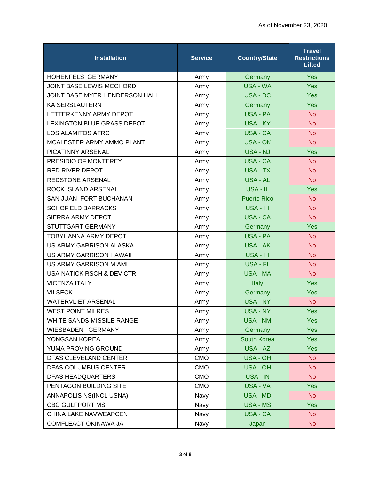| <b>Installation</b>               | <b>Service</b> | <b>Country/State</b> | <b>Travel</b><br><b>Restrictions</b><br><b>Lifted</b> |
|-----------------------------------|----------------|----------------------|-------------------------------------------------------|
| HOHENFELS GERMANY                 | Army           | Germany              | <b>Yes</b>                                            |
| <b>JOINT BASE LEWIS MCCHORD</b>   | Army           | <b>USA - WA</b>      | <b>Yes</b>                                            |
| JOINT BASE MYER HENDERSON HALL    | Army           | USA - DC             | <b>Yes</b>                                            |
| <b>KAISERSLAUTERN</b>             | Army           | Germany              | <b>Yes</b>                                            |
| LETTERKENNY ARMY DEPOT            | Army           | USA - PA             | <b>No</b>                                             |
| <b>LEXINGTON BLUE GRASS DEPOT</b> | Army           | USA - KY             | <b>No</b>                                             |
| <b>LOS ALAMITOS AFRC</b>          | Army           | <b>USA - CA</b>      | <b>No</b>                                             |
| MCALESTER ARMY AMMO PLANT         | Army           | <b>USA - OK</b>      | <b>No</b>                                             |
| PICATINNY ARSENAL                 | Army           | USA - NJ             | <b>Yes</b>                                            |
| PRESIDIO OF MONTEREY              | Army           | <b>USA - CA</b>      | <b>No</b>                                             |
| <b>RED RIVER DEPOT</b>            | Army           | USA - TX             | <b>No</b>                                             |
| <b>REDSTONE ARSENAL</b>           | Army           | USA - AL             | <b>No</b>                                             |
| ROCK ISLAND ARSENAL               | Army           | USA - IL             | <b>Yes</b>                                            |
| SAN JUAN FORT BUCHANAN            | Army           | <b>Puerto Rico</b>   | <b>No</b>                                             |
| <b>SCHOFIELD BARRACKS</b>         | Army           | USA - HI             | <b>No</b>                                             |
| SIERRA ARMY DEPOT                 | Army           | <b>USA - CA</b>      | <b>No</b>                                             |
| STUTTGART GERMANY                 | Army           | Germany              | Yes                                                   |
| <b>TOBYHANNA ARMY DEPOT</b>       | Army           | USA - PA             | <b>No</b>                                             |
| US ARMY GARRISON ALASKA           | Army           | <b>USA - AK</b>      | <b>No</b>                                             |
| <b>US ARMY GARRISON HAWAII</b>    | Army           | USA - HI             | <b>No</b>                                             |
| <b>US ARMY GARRISON MIAMI</b>     | Army           | <b>USA - FL</b>      | <b>No</b>                                             |
| USA NATICK RSCH & DEV CTR         | Army           | <b>USA - MA</b>      | <b>No</b>                                             |
| <b>VICENZA ITALY</b>              | Army           | Italy                | <b>Yes</b>                                            |
| <b>VILSECK</b>                    | Army           | Germany              | <b>Yes</b>                                            |
| <b>WATERVLIET ARSENAL</b>         | Army           | <b>USA - NY</b>      | <b>No</b>                                             |
| <b>WEST POINT MILRES</b>          | Army           | USA - NY             | <b>Yes</b>                                            |
| <b>WHITE SANDS MISSILE RANGE</b>  | Army           | <b>USA - NM</b>      | <b>Yes</b>                                            |
| WIESBADEN GERMANY                 | Army           | Germany              | <b>Yes</b>                                            |
| YONGSAN KOREA                     | Army           | <b>South Korea</b>   | <b>Yes</b>                                            |
| YUMA PROVING GROUND               | Army           | USA - AZ             | <b>Yes</b>                                            |
| DFAS CLEVELAND CENTER             | <b>CMO</b>     | <b>USA - OH</b>      | <b>No</b>                                             |
| DFAS COLUMBUS CENTER              | <b>CMO</b>     | USA - OH             | <b>No</b>                                             |
| <b>DFAS HEADQUARTERS</b>          | <b>CMO</b>     | USA - IN             | <b>No</b>                                             |
| PENTAGON BUILDING SITE            | <b>CMO</b>     | USA - VA             | <b>Yes</b>                                            |
| ANNAPOLIS NS(INCL USNA)           | Navy           | USA - MD             | <b>No</b>                                             |
| <b>CBC GULFPORT MS</b>            | Navy           | USA - MS             | <b>Yes</b>                                            |
| CHINA LAKE NAVWEAPCEN             | Navy           | USA - CA             | <b>No</b>                                             |
| COMFLEACT OKINAWA JA              | Navy           | Japan                | <b>No</b>                                             |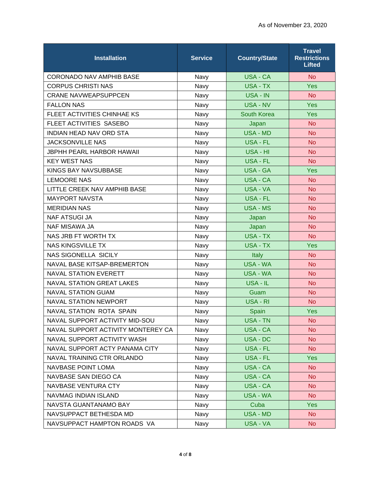| <b>Installation</b>                | <b>Service</b> | <b>Country/State</b> | <b>Travel</b><br><b>Restrictions</b><br><b>Lifted</b> |
|------------------------------------|----------------|----------------------|-------------------------------------------------------|
| CORONADO NAV AMPHIB BASE           | Navy           | <b>USA - CA</b>      | <b>No</b>                                             |
| <b>CORPUS CHRISTI NAS</b>          | Navy           | <b>USA - TX</b>      | <b>Yes</b>                                            |
| <b>CRANE NAVWEAPSUPPCEN</b>        | Navy           | USA - IN             | <b>No</b>                                             |
| <b>FALLON NAS</b>                  | Navy           | <b>USA - NV</b>      | <b>Yes</b>                                            |
| FLEET ACTIVITIES CHINHAE KS        | Navy           | South Korea          | <b>Yes</b>                                            |
| FLEET ACTIVITIES SASEBO            | Navy           | Japan                | <b>No</b>                                             |
| <b>INDIAN HEAD NAV ORD STA</b>     | Navy           | <b>USA - MD</b>      | <b>No</b>                                             |
| <b>JACKSONVILLE NAS</b>            | Navy           | <b>USA - FL</b>      | <b>No</b>                                             |
| <b>JBPHH PEARL HARBOR HAWAII</b>   | Navy           | USA - HI             | <b>No</b>                                             |
| <b>KEY WEST NAS</b>                | Navy           | USA - FL             | <b>No</b>                                             |
| <b>KINGS BAY NAVSUBBASE</b>        | Navy           | <b>USA - GA</b>      | <b>Yes</b>                                            |
| <b>LEMOORE NAS</b>                 | Navy           | <b>USA - CA</b>      | <b>No</b>                                             |
| LITTLE CREEK NAV AMPHIB BASE       | Navy           | <b>USA - VA</b>      | <b>No</b>                                             |
| <b>MAYPORT NAVSTA</b>              | Navy           | <b>USA - FL</b>      | <b>No</b>                                             |
| <b>MERIDIAN NAS</b>                | Navy           | <b>USA - MS</b>      | <b>No</b>                                             |
| <b>NAF ATSUGI JA</b>               | Navy           | Japan                | <b>No</b>                                             |
| <b>NAF MISAWA JA</b>               | Navy           | Japan                | <b>No</b>                                             |
| NAS JRB FT WORTH TX                | Navy           | <b>USA - TX</b>      | <b>No</b>                                             |
| <b>NAS KINGSVILLE TX</b>           | Navy           | <b>USA - TX</b>      | <b>Yes</b>                                            |
| <b>NAS SIGONELLA SICILY</b>        | Navy           | <b>Italy</b>         | <b>No</b>                                             |
| NAVAL BASE KITSAP-BREMERTON        | Navy           | <b>USA - WA</b>      | <b>No</b>                                             |
| <b>NAVAL STATION EVERETT</b>       | Navy           | <b>USA - WA</b>      | <b>No</b>                                             |
| <b>NAVAL STATION GREAT LAKES</b>   | Navy           | USA - IL             | <b>No</b>                                             |
| <b>NAVAL STATION GUAM</b>          | Navy           | Guam                 | <b>No</b>                                             |
| <b>NAVAL STATION NEWPORT</b>       | Navy           | USA - RI             | <b>No</b>                                             |
| <b>NAVAL STATION ROTA SPAIN</b>    | Navy           | Spain                | <b>Yes</b>                                            |
| NAVAL SUPPORT ACTIVITY MID-SOU     | Navy           | <b>USA - TN</b>      | <b>No</b>                                             |
| NAVAL SUPPORT ACTIVITY MONTEREY CA | Navy           | USA - CA             | <b>No</b>                                             |
| NAVAL SUPPORT ACTIVITY WASH        | Navy           | USA - DC             | <b>No</b>                                             |
| NAVAL SUPPORT ACTY PANAMA CITY     | Navy           | USA - FL             | <b>No</b>                                             |
| NAVAL TRAINING CTR ORLANDO         | Navy           | USA - FL             | <b>Yes</b>                                            |
| <b>NAVBASE POINT LOMA</b>          | Navy           | USA - CA             | N <sub>o</sub>                                        |
| NAVBASE SAN DIEGO CA               | Navy           | <b>USA - CA</b>      | <b>No</b>                                             |
| <b>NAVBASE VENTURA CTY</b>         | Navy           | USA - CA             | <b>No</b>                                             |
| NAVMAG INDIAN ISLAND               | Navy           | USA - WA             | <b>No</b>                                             |
| NAVSTA GUANTANAMO BAY              | Navy           | Cuba                 | <b>Yes</b>                                            |
| NAVSUPPACT BETHESDA MD             | Navy           | <b>USA - MD</b>      | N <sub>o</sub>                                        |
| NAVSUPPACT HAMPTON ROADS VA        | Navy           | USA - VA             | No                                                    |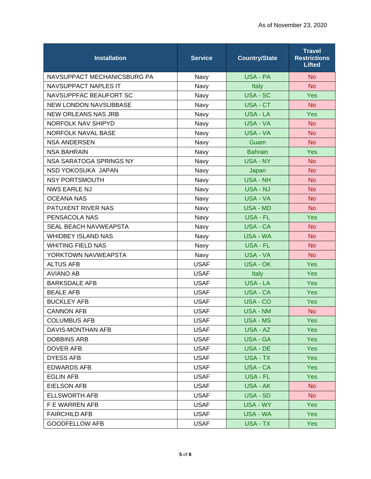| <b>Installation</b>          | <b>Service</b> | <b>Country/State</b> | <b>Travel</b><br><b>Restrictions</b><br><b>Lifted</b> |
|------------------------------|----------------|----------------------|-------------------------------------------------------|
| NAVSUPPACT MECHANICSBURG PA  | Navy           | <b>USA - PA</b>      | <b>No</b>                                             |
| <b>NAVSUPPACT NAPLES IT</b>  | Navy           | Italy                | <b>No</b>                                             |
| NAVSUPPFAC BEAUFORT SC       | Navy           | <b>USA - SC</b>      | <b>Yes</b>                                            |
| <b>NEW LONDON NAVSUBBASE</b> | Navy           | USA - CT             | <b>No</b>                                             |
| <b>NEW ORLEANS NAS JRB</b>   | Navy           | <b>USA - LA</b>      | <b>Yes</b>                                            |
| <b>NORFOLK NAV SHIPYD</b>    | Navy           | <b>USA - VA</b>      | <b>No</b>                                             |
| <b>NORFOLK NAVAL BASE</b>    | Navy           | USA - VA             | <b>No</b>                                             |
| <b>NSA ANDERSEN</b>          | Navy           | Guam                 | N <sub>o</sub>                                        |
| <b>NSA BAHRAIN</b>           | Navy           | <b>Bahrain</b>       | <b>Yes</b>                                            |
| NSA SARATOGA SPRINGS NY      | Navy           | USA - NY             | <b>No</b>                                             |
| NSD YOKOSUKA JAPAN           | Navy           | Japan                | <b>No</b>                                             |
| <b>NSY PORTSMOUTH</b>        | Navy           | <b>USA - NH</b>      | <b>No</b>                                             |
| <b>NWS EARLE NJ</b>          | Navy           | USA - NJ             | <b>No</b>                                             |
| <b>OCEANA NAS</b>            | Navy           | USA - VA             | <b>No</b>                                             |
| PATUXENT RIVER NAS           | <b>Navy</b>    | <b>USA - MD</b>      | <b>No</b>                                             |
| PENSACOLA NAS                | Navy           | <b>USA - FL</b>      | <b>Yes</b>                                            |
| <b>SEAL BEACH NAVWEAPSTA</b> | Navy           | <b>USA - CA</b>      | <b>No</b>                                             |
| <b>WHIDBEY ISLAND NAS</b>    | Navy           | <b>USA - WA</b>      | <b>No</b>                                             |
| <b>WHITING FIELD NAS</b>     | Navy           | USA - FL             | <b>No</b>                                             |
| YORKTOWN NAVWEAPSTA          | Navy           | USA - VA             | N <sub>o</sub>                                        |
| <b>ALTUS AFB</b>             | <b>USAF</b>    | <b>USA - OK</b>      | <b>Yes</b>                                            |
| <b>AVIANO AB</b>             | <b>USAF</b>    | <b>Italy</b>         | <b>Yes</b>                                            |
| <b>BARKSDALE AFB</b>         | <b>USAF</b>    | <b>USA - LA</b>      | <b>Yes</b>                                            |
| <b>BEALE AFB</b>             | <b>USAF</b>    | <b>USA - CA</b>      | <b>Yes</b>                                            |
| <b>BUCKLEY AFB</b>           | <b>USAF</b>    | USA - CO             | <b>Yes</b>                                            |
| <b>CANNON AFB</b>            | <b>USAF</b>    | <b>USA - NM</b>      | <b>No</b>                                             |
| <b>COLUMBUS AFB</b>          | <b>USAF</b>    | USA - MS             | <b>Yes</b>                                            |
| DAVIS-MONTHAN AFB            | <b>USAF</b>    | USA - AZ             | <b>Yes</b>                                            |
| <b>DOBBINS ARB</b>           | <b>USAF</b>    | USA - GA             | <b>Yes</b>                                            |
| <b>DOVER AFB</b>             | <b>USAF</b>    | USA - DE             | <b>Yes</b>                                            |
| <b>DYESS AFB</b>             | <b>USAF</b>    | USA - TX             | <b>Yes</b>                                            |
| <b>EDWARDS AFB</b>           | <b>USAF</b>    | USA - CA             | Yes                                                   |
| <b>EGLIN AFB</b>             | <b>USAF</b>    | USA - FL             | <b>Yes</b>                                            |
| <b>EIELSON AFB</b>           | <b>USAF</b>    | USA - AK             | No                                                    |
| <b>ELLSWORTH AFB</b>         | <b>USAF</b>    | USA - SD             | N <sub>o</sub>                                        |
| F E WARREN AFB               | <b>USAF</b>    | USA - WY             | <b>Yes</b>                                            |
| <b>FAIRCHILD AFB</b>         | <b>USAF</b>    | USA - WA             | Yes                                                   |
| <b>GOODFELLOW AFB</b>        | <b>USAF</b>    | USA - TX             | <b>Yes</b>                                            |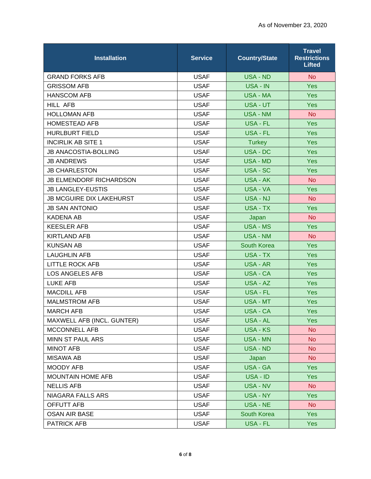| <b>Installation</b>             | <b>Service</b> | <b>Country/State</b> | <b>Travel</b><br><b>Restrictions</b><br><b>Lifted</b> |
|---------------------------------|----------------|----------------------|-------------------------------------------------------|
| <b>GRAND FORKS AFB</b>          | <b>USAF</b>    | <b>USA - ND</b>      | <b>No</b>                                             |
| <b>GRISSOM AFB</b>              | <b>USAF</b>    | USA - IN             | <b>Yes</b>                                            |
| <b>HANSCOM AFB</b>              | <b>USAF</b>    | <b>USA - MA</b>      | <b>Yes</b>                                            |
| <b>HILL AFB</b>                 | <b>USAF</b>    | USA - UT             | <b>Yes</b>                                            |
| <b>HOLLOMAN AFB</b>             | <b>USAF</b>    | <b>USA - NM</b>      | <b>No</b>                                             |
| <b>HOMESTEAD AFB</b>            | <b>USAF</b>    | <b>USA - FL</b>      | <b>Yes</b>                                            |
| <b>HURLBURT FIELD</b>           | <b>USAF</b>    | <b>USA - FL</b>      | <b>Yes</b>                                            |
| <b>INCIRLIK AB SITE 1</b>       | <b>USAF</b>    | <b>Turkey</b>        | <b>Yes</b>                                            |
| <b>JB ANACOSTIA-BOLLING</b>     | <b>USAF</b>    | USA - DC             | <b>Yes</b>                                            |
| <b>JB ANDREWS</b>               | <b>USAF</b>    | <b>USA - MD</b>      | Yes                                                   |
| <b>JB CHARLESTON</b>            | <b>USAF</b>    | USA - SC             | <b>Yes</b>                                            |
| <b>JB ELMENDORF RICHARDSON</b>  | <b>USAF</b>    | <b>USA - AK</b>      | <b>No</b>                                             |
| <b>JB LANGLEY-EUSTIS</b>        | <b>USAF</b>    | USA - VA             | <b>Yes</b>                                            |
| <b>JB MCGUIRE DIX LAKEHURST</b> | <b>USAF</b>    | USA - NJ             | <b>No</b>                                             |
| <b>JB SAN ANTONIO</b>           | <b>USAF</b>    | USA - TX             | <b>Yes</b>                                            |
| <b>KADENA AB</b>                | <b>USAF</b>    | Japan                | <b>No</b>                                             |
| <b>KEESLER AFB</b>              | <b>USAF</b>    | <b>USA - MS</b>      | <b>Yes</b>                                            |
| <b>KIRTLAND AFB</b>             | <b>USAF</b>    | <b>USA - NM</b>      | <b>No</b>                                             |
| <b>KUNSAN AB</b>                | <b>USAF</b>    | South Korea          | <b>Yes</b>                                            |
| <b>LAUGHLIN AFB</b>             | <b>USAF</b>    | USA - TX             | <b>Yes</b>                                            |
| <b>LITTLE ROCK AFB</b>          | <b>USAF</b>    | USA - AR             | <b>Yes</b>                                            |
| <b>LOS ANGELES AFB</b>          | <b>USAF</b>    | USA - CA             | <b>Yes</b>                                            |
| <b>LUKE AFB</b>                 | <b>USAF</b>    | USA - AZ             | <b>Yes</b>                                            |
| <b>MACDILL AFB</b>              | <b>USAF</b>    | USA - FL             | <b>Yes</b>                                            |
| <b>MALMSTROM AFB</b>            | <b>USAF</b>    | <b>USA - MT</b>      | <b>Yes</b>                                            |
| <b>MARCH AFB</b>                | <b>USAF</b>    | USA - CA             | <b>Yes</b>                                            |
| MAXWELL AFB (INCL. GUNTER)      | <b>USAF</b>    | USA - AL             | <b>Yes</b>                                            |
| MCCONNELL AFB                   | <b>USAF</b>    | USA - KS             | <b>No</b>                                             |
| MINN ST PAUL ARS                | <b>USAF</b>    | <b>USA - MN</b>      | <b>No</b>                                             |
| <b>MINOT AFB</b>                | <b>USAF</b>    | USA - ND             | <b>No</b>                                             |
| <b>MISAWA AB</b>                | <b>USAF</b>    | Japan                | <b>No</b>                                             |
| <b>MOODY AFB</b>                | <b>USAF</b>    | USA - GA             | <b>Yes</b>                                            |
| <b>MOUNTAIN HOME AFB</b>        | <b>USAF</b>    | USA - ID             | <b>Yes</b>                                            |
| <b>NELLIS AFB</b>               | <b>USAF</b>    | USA - NV             | <b>No</b>                                             |
| NIAGARA FALLS ARS               | <b>USAF</b>    | USA - NY             | <b>Yes</b>                                            |
| OFFUTT AFB                      | <b>USAF</b>    | USA - NE             | <b>No</b>                                             |
| <b>OSAN AIR BASE</b>            | <b>USAF</b>    | South Korea          | Yes                                                   |
| PATRICK AFB                     | <b>USAF</b>    | USA - FL             | <b>Yes</b>                                            |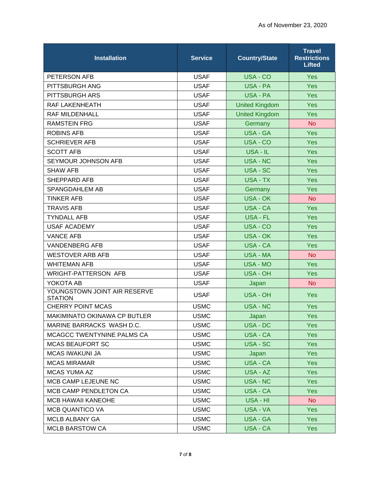| <b>Installation</b>                            | <b>Service</b> | <b>Country/State</b>  | <b>Travel</b><br><b>Restrictions</b><br><b>Lifted</b> |
|------------------------------------------------|----------------|-----------------------|-------------------------------------------------------|
| PETERSON AFB                                   | <b>USAF</b>    | USA - CO              | Yes                                                   |
| PITTSBURGH ANG                                 | <b>USAF</b>    | USA - PA              | <b>Yes</b>                                            |
| PITTSBURGH ARS                                 | <b>USAF</b>    | <b>USA - PA</b>       | <b>Yes</b>                                            |
| <b>RAF LAKENHEATH</b>                          | <b>USAF</b>    | <b>United Kingdom</b> | <b>Yes</b>                                            |
| RAF MILDENHALL                                 | <b>USAF</b>    | <b>United Kingdom</b> | Yes                                                   |
| <b>RAMSTEIN FRG</b>                            | <b>USAF</b>    | Germany               | <b>No</b>                                             |
| <b>ROBINS AFB</b>                              | <b>USAF</b>    | <b>USA - GA</b>       | <b>Yes</b>                                            |
| <b>SCHRIEVER AFB</b>                           | <b>USAF</b>    | USA - CO              | <b>Yes</b>                                            |
| <b>SCOTT AFB</b>                               | <b>USAF</b>    | USA - IL              | <b>Yes</b>                                            |
| SEYMOUR JOHNSON AFB                            | <b>USAF</b>    | <b>USA - NC</b>       | <b>Yes</b>                                            |
| <b>SHAW AFB</b>                                | <b>USAF</b>    | USA - SC              | <b>Yes</b>                                            |
| SHEPPARD AFB                                   | <b>USAF</b>    | <b>USA - TX</b>       | <b>Yes</b>                                            |
| <b>SPANGDAHLEM AB</b>                          | <b>USAF</b>    | Germany               | <b>Yes</b>                                            |
| <b>TINKER AFB</b>                              | <b>USAF</b>    | <b>USA - OK</b>       | <b>No</b>                                             |
| <b>TRAVIS AFB</b>                              | <b>USAF</b>    | <b>USA - CA</b>       | <b>Yes</b>                                            |
| <b>TYNDALL AFB</b>                             | <b>USAF</b>    | <b>USA - FL</b>       | <b>Yes</b>                                            |
| <b>USAF ACADEMY</b>                            | <b>USAF</b>    | USA - CO              | <b>Yes</b>                                            |
| <b>VANCE AFB</b>                               | <b>USAF</b>    | <b>USA - OK</b>       | <b>Yes</b>                                            |
| <b>VANDENBERG AFB</b>                          | <b>USAF</b>    | <b>USA - CA</b>       | <b>Yes</b>                                            |
| <b>WESTOVER ARB AFB</b>                        | <b>USAF</b>    | <b>USA - MA</b>       | <b>No</b>                                             |
| <b>WHITEMAN AFB</b>                            | <b>USAF</b>    | <b>USA - MO</b>       | <b>Yes</b>                                            |
| <b>WRIGHT-PATTERSON AFB</b>                    | <b>USAF</b>    | <b>USA - OH</b>       | <b>Yes</b>                                            |
| YOKOTA AB                                      | <b>USAF</b>    | Japan                 | <b>No</b>                                             |
| YOUNGSTOWN JOINT AIR RESERVE<br><b>STATION</b> | <b>USAF</b>    | <b>USA - OH</b>       | <b>Yes</b>                                            |
| <b>CHERRY POINT MCAS</b>                       | <b>USMC</b>    | <b>USA - NC</b>       | <b>Yes</b>                                            |
| MAKIMINATO OKINAWA CP BUTLER                   | <b>USMC</b>    | Japan                 | Yes                                                   |
| MARINE BARRACKS WASH D.C.                      | <b>USMC</b>    | USA - DC              | <b>Yes</b>                                            |
| MCAGCC TWENTYNINE PALMS CA                     | <b>USMC</b>    | USA - CA              | <b>Yes</b>                                            |
| <b>MCAS BEAUFORT SC</b>                        | <b>USMC</b>    | USA - SC              | <b>Yes</b>                                            |
| <b>MCAS IWAKUNI JA</b>                         | <b>USMC</b>    | Japan                 | Yes                                                   |
| <b>MCAS MIRAMAR</b>                            | <b>USMC</b>    | USA - CA              | Yes                                                   |
| <b>MCAS YUMA AZ</b>                            | <b>USMC</b>    | USA - AZ              | <b>Yes</b>                                            |
| MCB CAMP LEJEUNE NC                            | <b>USMC</b>    | USA - NC              | Yes                                                   |
| <b>MCB CAMP PENDLETON CA</b>                   | <b>USMC</b>    | USA - CA              | <b>Yes</b>                                            |
| <b>MCB HAWAII KANEOHE</b>                      | <b>USMC</b>    | USA - HI              | No                                                    |
| MCB QUANTICO VA                                | <b>USMC</b>    | USA - VA              | Yes                                                   |
| MCLB ALBANY GA                                 | <b>USMC</b>    | USA - GA              | <b>Yes</b>                                            |
| <b>MCLB BARSTOW CA</b>                         | <b>USMC</b>    | USA - CA              | <b>Yes</b>                                            |